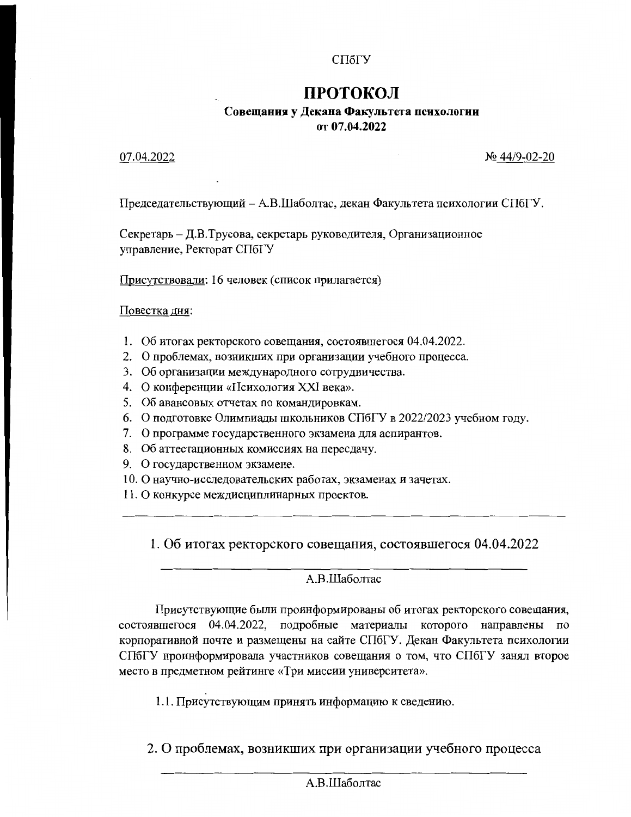# СПбГУ

# **ПРОТОКОЛ**

# Совещания у Декана Факультета психологии от 07.04.2022

### 07.04.2022

 $N_2$  44/9-02-20

Председательствующий - А.В.Шаболтас, декан Факультета психологии СПбГУ.

Секретарь - Д.В.Трусова, секретарь руководителя, Организационное управление, Ректорат СПбГУ

Присутствовали: 16 человек (список прилагается)

Повестка лня:

- 1. Об итогах ректорского совещания, состоявшегося 04.04.2022.
- 2. О проблемах, возникших при организации учебного процесса.
- 3. Об организации международного сотрудничества.
- 4. О конференции «Психология XXI века».
- 5. Об авансовых отчетах по командировкам.
- 6. О подготовке Олимпиады школьников СПбГУ в 2022/2023 учебном году.
- 7. О программе государственного экзамена для аспирантов.
- 8. Об аттестационных комиссиях на пересдачу.
- 9. О государственном экзамене.
- 10. О научно-исследовательских работах, экзаменах и зачетах.
- 11. О конкурсе междисциплинарных проектов.

1. Об итогах ректорского совещания, состоявшегося 04.04.2022

# А.В.Шаболтас

Присутствующие были проинформированы об итогах ректорского совещания, состоявшегося 04.04.2022, подробные материалы которого направлены по корпоративной почте и размещены на сайте СПбГУ. Декан Факультета психологии СПбГУ проинформировала участников совещания о том, что СПбГУ занял второе место в предметном рейтинге «Три миссии университета».

1.1. Присутствующим принять информацию к сведению.

2. О проблемах, возникших при организации учебного процесса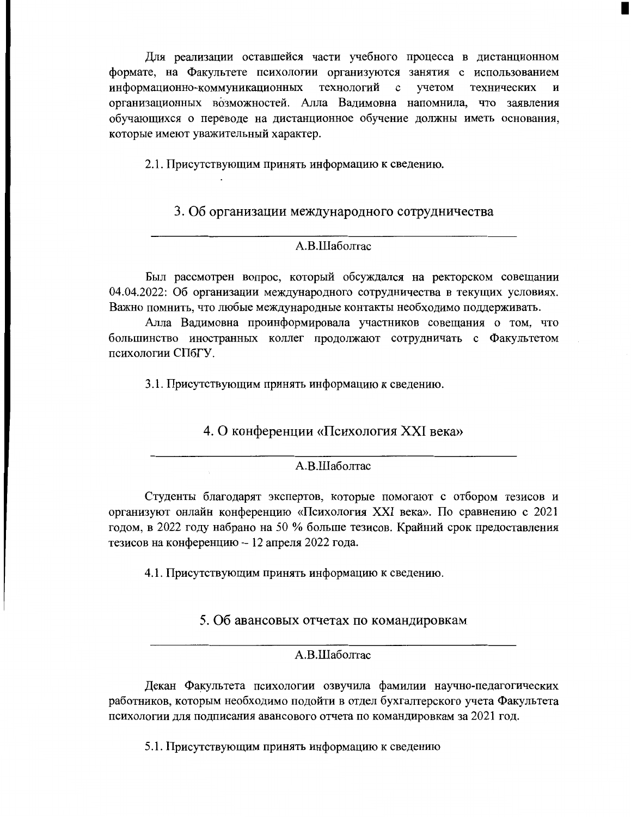Для реализации оставшейся части учебного процесса в дистанционном формате, на Факультете психологии организуются занятия с использованием информационно-коммуникационных технологий учетом  $\mathbf{c}$ технических  $\boldsymbol{\mathrm{M}}$ организационных возможностей. Алла Вадимовна напомнила, что заявления обучающихся о переводе на дистанционное обучение должны иметь основания, которые имеют уважительный характер.

2.1. Присутствующим принять информацию к сведению.

# 3. Об организации международного сотрудничества

### А.В.Шаболтас

Был рассмотрен вопрос, который обсуждался на ректорском совещании 04.04.2022: Об организации международного сотрудничества в текущих условиях. Важно помнить, что любые международные контакты необходимо поддерживать.

Алла Вадимовна проинформировала участников совещания о том, что большинство иностранных коллег продолжают сотрудничать с Факультетом психологии СПбГУ.

3.1. Присутствующим принять информацию к сведению.

4. О конференции «Психология XXI века»

#### А.В.Шаболтас

Студенты благодарят экспертов, которые помогают с отбором тезисов и организуют онлайн конференцию «Психология XXI века». По сравнению с 2021 годом, в 2022 году набрано на 50 % больше тезисов. Крайний срок предоставления тезисов на конференцию - 12 апреля 2022 года.

4.1. Присутствующим принять информацию к сведению.

# 5. Об авансовых отчетах по командировкам

#### А.В.Шаболтас

Декан Факультета психологии озвучила фамилии научно-педагогических работников, которым необходимо подойти в отдел бухгалтерского учета Факультета психологии для подписания авансового отчета по командировкам за 2021 год.

5.1. Присутствующим принять информацию к сведению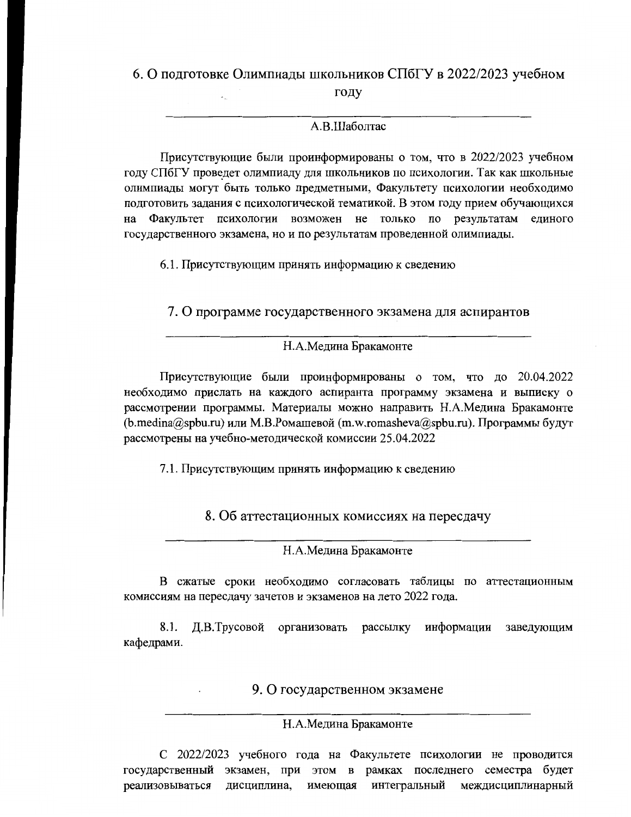#### 6. О подготовке Олимпиады школьников СПбГУ в 2022/2023 учебном

году

## А.В.Шаболтас

Присутствующие были проинформированы о том, что в 2022/2023 учебном году СПбГУ проведет олимпиаду для школьников по психологии. Так как школьные олимпиады могут быть только предметными, Факультету психологии необходимо подготовить задания с психологической тематикой. В этом году прием обучающихся на Факультет психологии возможен не только по результатам единого государственного экзамена, но и по результатам проведенной олимпиады.

6.1. Присутствующим принять информацию к сведению

7. О программе государственного экзамена для аспирантов

#### Н.А.Медина Бракамонте

Присутствующие были проинформированы о том, что до 20.04.2022 необходимо прислать на каждого аспиранта программу экзамена и выписку о рассмотрении программы. Материалы можно направить Н.А.Медина Бракамонте (b.medina@spbu.ru) или М.В.Ромашевой (m.w.romasheva@spbu.ru). Программы будут рассмотрены на учебно-методической комиссии 25.04.2022

7.1. Присутствующим принять информацию к сведению

8. Об аттестационных комиссиях на пересдачу

Н.А.Медина Бракамонте

В сжатые сроки необходимо согласовать таблицы по аттестационным комиссиям на пересдачу зачетов и экзаменов на лето 2022 года.

8.1. Д.В.Трусовой организовать рассылку информации заведующим кафедрами.

9. О государственном экзамене

#### Н.А.Медина Бракамонте

С 2022/2023 учебного года на Факультете психологии не проводится государственный экзамен, при этом в рамках последнего семестра будет реализовываться лиспиплина. имеющая интегральный междисциплинарный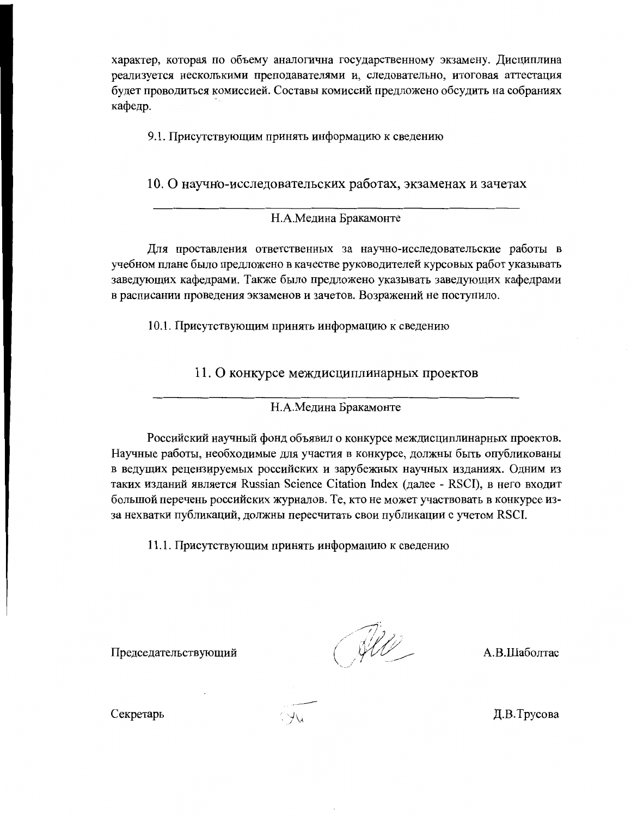характер, которая по объему аналогична государственному экзамену. Дисциплина реализуется несколькими преподавателями и, следовательно, итоговая аттестация будет проводиться комиссией. Составы комиссий предложено обсудить на собраниях кафедр.

9.1. Присутствующим принять информацию к сведению

10. О научно-исследовательских работах, экзаменах и зачетах

### Н.А.Медина Бракамонте

Для проставления ответственных за научно-исследовательские работы в учебном плане было предложено в качестве руководителей курсовых работ указывать заведующих кафедрами. Также было предложено указывать заведующих кафедрами в расписании проведения экзаменов и зачетов. Возражений не поступило.

10.1. Присутствующим принять информацию к сведению

11. О конкурсе междисциплинарных проектов

Н.А.Медина Бракамонте

Российский научный фонд объявил о конкурсе междисциплинарных проектов. Научные работы, необходимые для участия в конкурсе, должны быть опубликованы в ведущих рецензируемых российских и зарубежных научных изданиях. Одним из таких изданий является Russian Science Citation Index (далее - RSCI), в него входит большой перечень российских журналов. Те, кто не может участвовать в конкурсе изза нехватки публикаций, должны пересчитать свои публикации с учетом RSCI.

11.1. Присутствующим принять информацию к сведению

Председательствующий

(All

А.В.Шаболтас

Секретарь

Д.В.Трусова